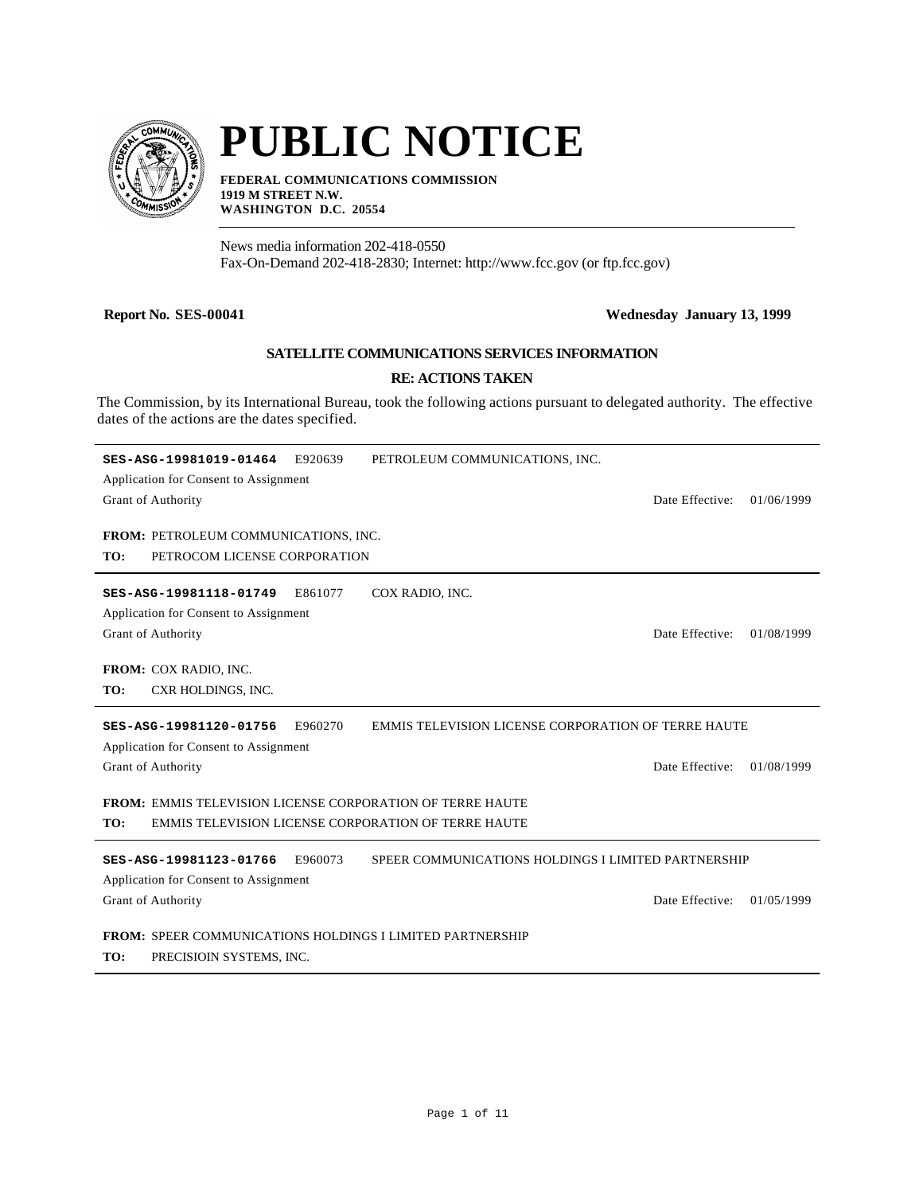

# **PUBLIC NOTICE**

**FEDERAL COMMUNICATIONS COMMISSION 1919 M STREET N.W. WASHINGTON D.C. 20554**

News media information 202-418-0550 Fax-On-Demand 202-418-2830; Internet: http://www.fcc.gov (or ftp.fcc.gov)

#### **Report No. SES-00041 Wednesday January 13, 1999**

### **SATELLITE COMMUNICATIONS SERVICES INFORMATION**

#### **RE: ACTIONS TAKEN**

The Commission, by its International Bureau, took the following actions pursuant to delegated authority. The effective dates of the actions are the dates specified.

| SES-ASG-19981019-01464<br>E920639<br>Application for Consent to Assignment<br>Grant of Authority<br>FROM: PETROLEUM COMMUNICATIONS, INC. | PETROLEUM COMMUNICATIONS, INC.<br>Date Effective:                      | 01/06/1999 |
|------------------------------------------------------------------------------------------------------------------------------------------|------------------------------------------------------------------------|------------|
| PETROCOM LICENSE CORPORATION<br>TO:                                                                                                      |                                                                        |            |
| COX RADIO, INC.<br>SES-ASG-19981118-01749<br>E861077<br>Application for Consent to Assignment<br>Grant of Authority                      | Date Effective:                                                        | 01/08/1999 |
| FROM: COX RADIO, INC.<br>CXR HOLDINGS, INC.<br>TO:                                                                                       |                                                                        |            |
| E960270<br>SES-ASG-19981120-01756                                                                                                        | <b>EMMIS TELEVISION LICENSE CORPORATION OF TERRE HAUTE</b>             |            |
| Application for Consent to Assignment<br>Grant of Authority                                                                              | Date Effective:                                                        | 01/08/1999 |
| <b>FROM: EMMIS TELEVISION LICENSE CORPORATION OF TERRE HAUTE</b><br>EMMIS TELEVISION LICENSE CORPORATION OF TERRE HAUTE<br>TO:           |                                                                        |            |
| SES-ASG-19981123-01766<br>E960073<br>Application for Consent to Assignment<br>Grant of Authority                                         | SPEER COMMUNICATIONS HOLDINGS I LIMITED PARTNERSHIP<br>Date Effective: | 01/05/1999 |
| <b>FROM: SPEER COMMUNICATIONS HOLDINGS I LIMITED PARTNERSHIP</b><br>TO:<br>PRECISIOIN SYSTEMS, INC.                                      |                                                                        |            |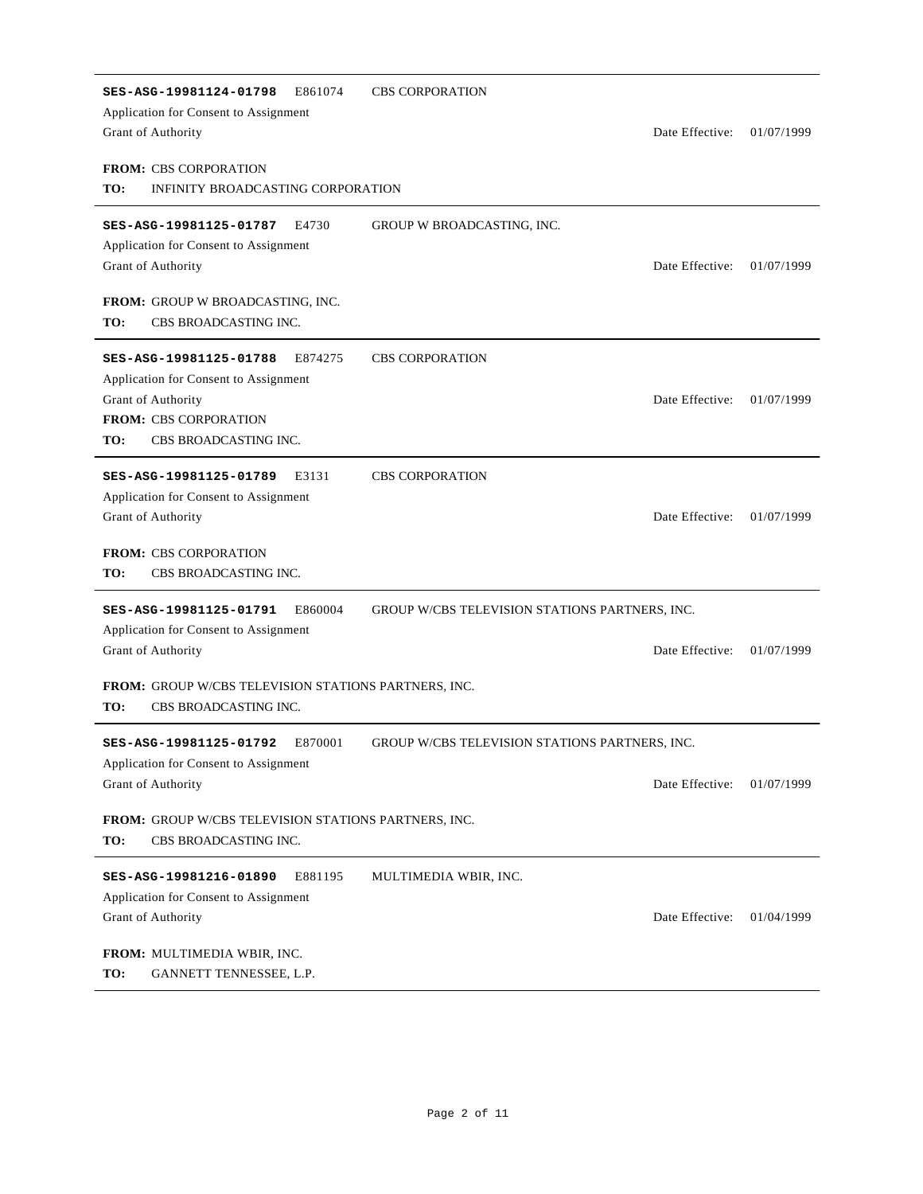| SES-ASG-19981124-01798<br>E861074<br>Application for Consent to Assignment<br>Grant of Authority                                                                                                 | <b>CBS CORPORATION</b><br>Date Effective:                         | 01/07/1999 |
|--------------------------------------------------------------------------------------------------------------------------------------------------------------------------------------------------|-------------------------------------------------------------------|------------|
| <b>FROM: CBS CORPORATION</b><br>TO:<br>INFINITY BROADCASTING CORPORATION                                                                                                                         |                                                                   |            |
| E4730<br>SES-ASG-19981125-01787<br>Application for Consent to Assignment<br>Grant of Authority<br>FROM: GROUP W BROADCASTING, INC.                                                               | GROUP W BROADCASTING, INC.<br>Date Effective:                     | 01/07/1999 |
| TO:<br>CBS BROADCASTING INC.<br>SES-ASG-19981125-01788<br>E874275<br>Application for Consent to Assignment<br>Grant of Authority<br><b>FROM: CBS CORPORATION</b><br>TO:<br>CBS BROADCASTING INC. | <b>CBS CORPORATION</b><br>Date Effective:                         | 01/07/1999 |
| E3131<br>SES-ASG-19981125-01789<br>Application for Consent to Assignment<br>Grant of Authority<br><b>FROM: CBS CORPORATION</b><br>TO:<br>CBS BROADCASTING INC.                                   | <b>CBS CORPORATION</b><br>Date Effective:                         | 01/07/1999 |
| E860004<br>SES-ASG-19981125-01791<br>Application for Consent to Assignment<br>Grant of Authority<br>FROM: GROUP W/CBS TELEVISION STATIONS PARTNERS, INC.                                         | GROUP W/CBS TELEVISION STATIONS PARTNERS, INC.<br>Date Effective: | 01/07/1999 |
| TO:<br>CBS BROADCASTING INC.<br>E870001<br>SES-ASG-19981125-01792<br>Application for Consent to Assignment<br>Grant of Authority<br>FROM: GROUP W/CBS TELEVISION STATIONS PARTNERS, INC.         | GROUP W/CBS TELEVISION STATIONS PARTNERS, INC.<br>Date Effective: | 01/07/1999 |
| CBS BROADCASTING INC.<br>TO:<br>E881195<br>SES-ASG-19981216-01890<br>Application for Consent to Assignment<br>Grant of Authority<br>FROM: MULTIMEDIA WBIR, INC.                                  | MULTIMEDIA WBIR, INC.<br>Date Effective:                          | 01/04/1999 |
| TO:<br>GANNETT TENNESSEE, L.P.                                                                                                                                                                   |                                                                   |            |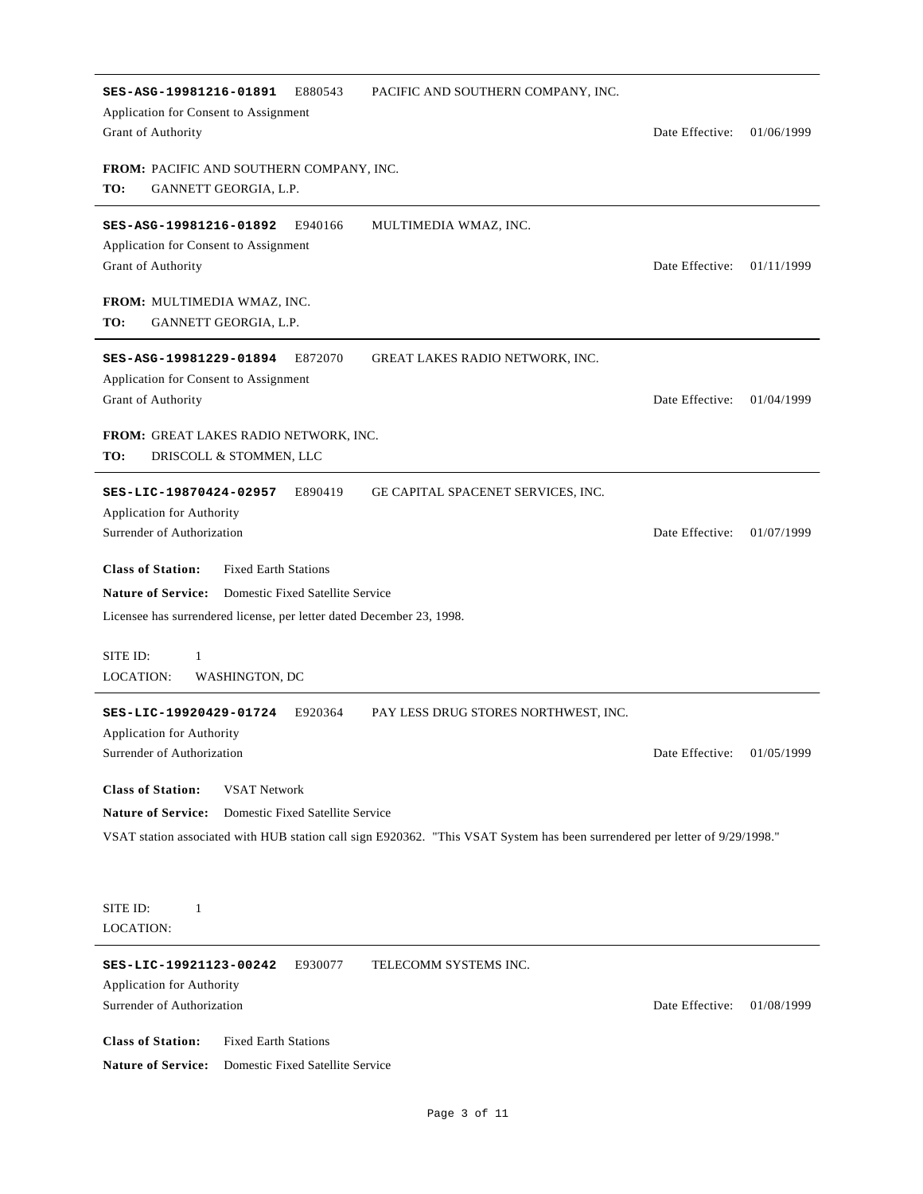| SES-ASG-19981216-01891<br>E880543<br>PACIFIC AND SOUTHERN COMPANY, INC.<br>Application for Consent to Assignment<br>Grant of Authority                                                                                                           | Date Effective:            | 01/06/1999 |
|--------------------------------------------------------------------------------------------------------------------------------------------------------------------------------------------------------------------------------------------------|----------------------------|------------|
| <b>FROM: PACIFIC AND SOUTHERN COMPANY, INC.</b><br>TO:<br>GANNETT GEORGIA, L.P.                                                                                                                                                                  |                            |            |
| SES-ASG-19981216-01892<br>E940166<br>MULTIMEDIA WMAZ, INC.<br>Application for Consent to Assignment<br>Grant of Authority                                                                                                                        | Date Effective:            | 01/11/1999 |
| FROM: MULTIMEDIA WMAZ, INC.<br>TO:<br>GANNETT GEORGIA, L.P.                                                                                                                                                                                      |                            |            |
| SES-ASG-19981229-01894<br>E872070<br>GREAT LAKES RADIO NETWORK, INC.<br>Application for Consent to Assignment<br>Grant of Authority                                                                                                              | Date Effective:            | 01/04/1999 |
| <b>FROM: GREAT LAKES RADIO NETWORK, INC.</b><br>TO:<br>DRISCOLL & STOMMEN, LLC                                                                                                                                                                   |                            |            |
| SES-LIC-19870424-02957<br>E890419<br>GE CAPITAL SPACENET SERVICES, INC.<br><b>Application for Authority</b><br>Surrender of Authorization                                                                                                        | Date Effective:            | 01/07/1999 |
| <b>Class of Station:</b><br><b>Fixed Earth Stations</b><br><b>Nature of Service:</b><br>Domestic Fixed Satellite Service<br>Licensee has surrendered license, per letter dated December 23, 1998.                                                |                            |            |
| SITE ID:<br>1<br>LOCATION:<br>WASHINGTON, DC                                                                                                                                                                                                     |                            |            |
| SES-LIC-19920429-01724<br>E920364<br>PAY LESS DRUG STORES NORTHWEST, INC.<br><b>Application for Authority</b><br>Surrender of Authorization                                                                                                      | Date Effective: 01/05/1999 |            |
| <b>Class of Station:</b><br><b>VSAT Network</b><br><b>Nature of Service:</b><br>Domestic Fixed Satellite Service<br>VSAT station associated with HUB station call sign E920362. "This VSAT System has been surrendered per letter of 9/29/1998." |                            |            |
| SITE ID:<br>$\mathbf{1}$<br>LOCATION:                                                                                                                                                                                                            |                            |            |
| SES-LIC-19921123-00242<br>E930077<br>TELECOMM SYSTEMS INC.<br>Application for Authority<br>Surrender of Authorization                                                                                                                            | Date Effective:            | 01/08/1999 |
| <b>Class of Station:</b><br><b>Fixed Earth Stations</b><br><b>Nature of Service:</b><br>Domestic Fixed Satellite Service                                                                                                                         |                            |            |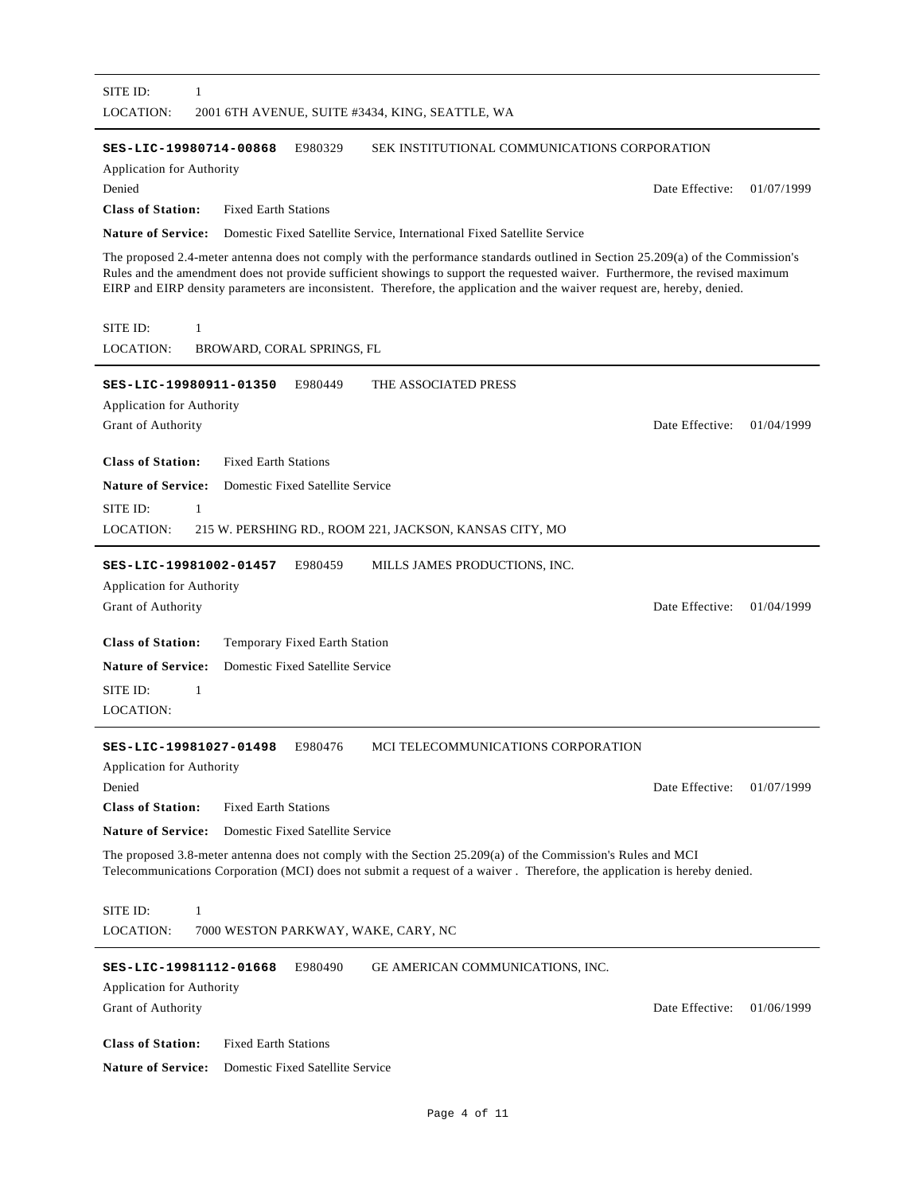| SITE ID:<br>1<br><b>LOCATION:</b><br>2001 6TH AVENUE, SUITE #3434, KING, SEATTLE, WA                                                                                                                                                                        |                 |            |
|-------------------------------------------------------------------------------------------------------------------------------------------------------------------------------------------------------------------------------------------------------------|-----------------|------------|
|                                                                                                                                                                                                                                                             |                 |            |
| SEK INSTITUTIONAL COMMUNICATIONS CORPORATION<br>SES-LIC-19980714-00868<br>E980329<br>Application for Authority                                                                                                                                              |                 |            |
| Denied                                                                                                                                                                                                                                                      | Date Effective: | 01/07/1999 |
| <b>Class of Station:</b><br><b>Fixed Earth Stations</b>                                                                                                                                                                                                     |                 |            |
| <b>Nature of Service:</b><br>Domestic Fixed Satellite Service, International Fixed Satellite Service                                                                                                                                                        |                 |            |
| The proposed 2.4-meter antenna does not comply with the performance standards outlined in Section 25.209(a) of the Commission's                                                                                                                             |                 |            |
| Rules and the amendment does not provide sufficient showings to support the requested waiver. Furthermore, the revised maximum<br>EIRP and EIRP density parameters are inconsistent. Therefore, the application and the waiver request are, hereby, denied. |                 |            |
| SITE ID:<br>1                                                                                                                                                                                                                                               |                 |            |
| LOCATION:<br>BROWARD, CORAL SPRINGS, FL                                                                                                                                                                                                                     |                 |            |
|                                                                                                                                                                                                                                                             |                 |            |
| SES-LIC-19980911-01350<br>E980449<br>THE ASSOCIATED PRESS                                                                                                                                                                                                   |                 |            |
| Application for Authority<br>Grant of Authority                                                                                                                                                                                                             | Date Effective: | 01/04/1999 |
|                                                                                                                                                                                                                                                             |                 |            |
| <b>Class of Station:</b><br><b>Fixed Earth Stations</b>                                                                                                                                                                                                     |                 |            |
| <b>Nature of Service:</b><br>Domestic Fixed Satellite Service                                                                                                                                                                                               |                 |            |
| SITE ID:<br>1                                                                                                                                                                                                                                               |                 |            |
| <b>LOCATION:</b><br>215 W. PERSHING RD., ROOM 221, JACKSON, KANSAS CITY, MO                                                                                                                                                                                 |                 |            |
| SES-LIC-19981002-01457<br>E980459<br>MILLS JAMES PRODUCTIONS, INC.                                                                                                                                                                                          |                 |            |
| Application for Authority                                                                                                                                                                                                                                   |                 |            |
| Grant of Authority                                                                                                                                                                                                                                          | Date Effective: | 01/04/1999 |
|                                                                                                                                                                                                                                                             |                 |            |
| <b>Class of Station:</b><br>Temporary Fixed Earth Station                                                                                                                                                                                                   |                 |            |
| <b>Nature of Service:</b><br>Domestic Fixed Satellite Service                                                                                                                                                                                               |                 |            |
| SITE ID:<br>1                                                                                                                                                                                                                                               |                 |            |
| <b>LOCATION:</b>                                                                                                                                                                                                                                            |                 |            |
| MCI TELECOMMUNICATIONS CORPORATION<br>SES-LIC-19981027-01498<br>E980476                                                                                                                                                                                     |                 |            |
| Application for Authority                                                                                                                                                                                                                                   |                 |            |
| Denied                                                                                                                                                                                                                                                      | Date Effective: | 01/07/1999 |
| <b>Class of Station:</b><br><b>Fixed Earth Stations</b>                                                                                                                                                                                                     |                 |            |
| <b>Nature of Service:</b><br>Domestic Fixed Satellite Service                                                                                                                                                                                               |                 |            |
| The proposed 3.8-meter antenna does not comply with the Section 25.209(a) of the Commission's Rules and MCI<br>Telecommunications Corporation (MCI) does not submit a request of a waiver. Therefore, the application is hereby denied.                     |                 |            |
| SITE ID:<br>$\mathbf{1}$                                                                                                                                                                                                                                    |                 |            |
| LOCATION:<br>7000 WESTON PARKWAY, WAKE, CARY, NC                                                                                                                                                                                                            |                 |            |
|                                                                                                                                                                                                                                                             |                 |            |
| GE AMERICAN COMMUNICATIONS, INC.<br>SES-LIC-19981112-01668<br>E980490                                                                                                                                                                                       |                 |            |
| Application for Authority                                                                                                                                                                                                                                   |                 |            |
| Grant of Authority                                                                                                                                                                                                                                          | Date Effective: | 01/06/1999 |
| <b>Class of Station:</b><br><b>Fixed Earth Stations</b>                                                                                                                                                                                                     |                 |            |
|                                                                                                                                                                                                                                                             |                 |            |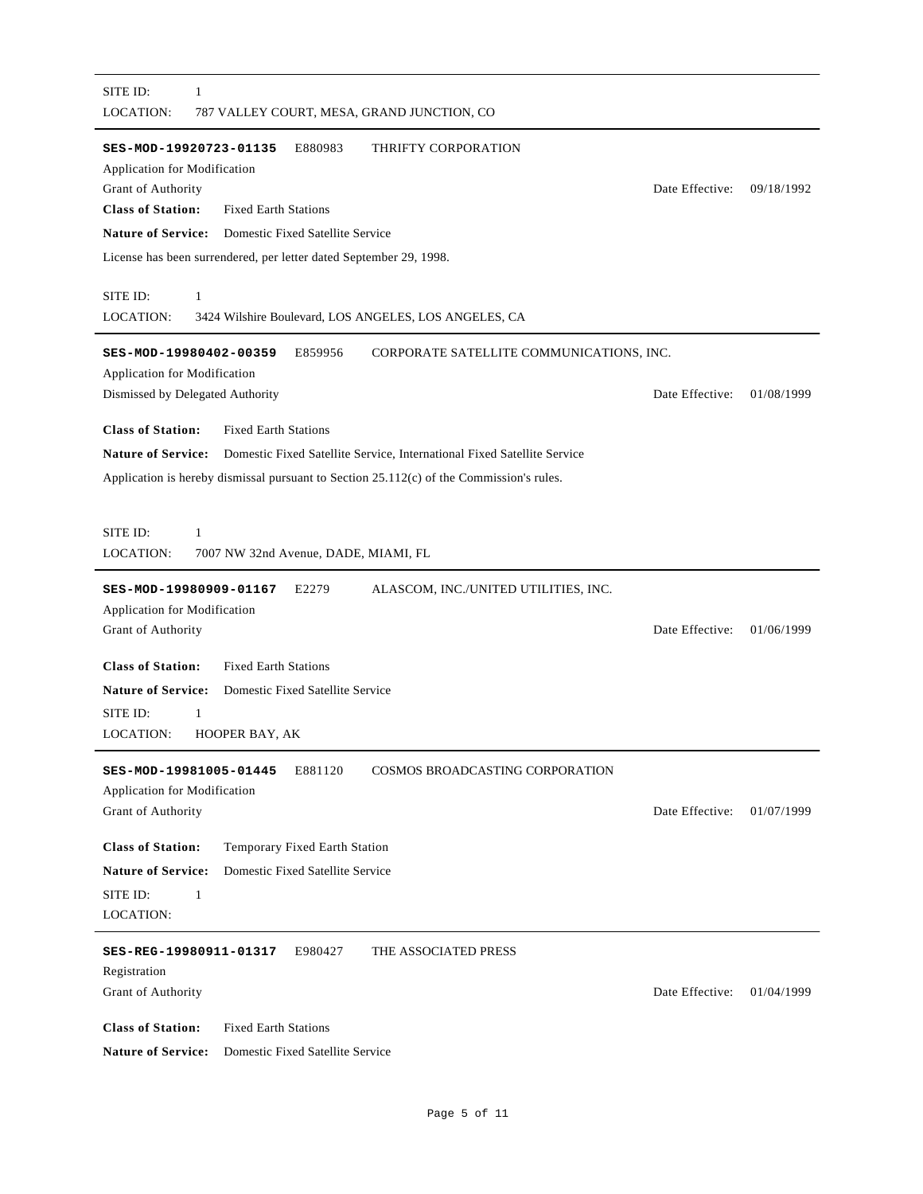| SITE ID:<br>1<br>LOCATION:<br>787 VALLEY COURT, MESA, GRAND JUNCTION, CO                                                                                                                                                                                                                                                |                 |            |
|-------------------------------------------------------------------------------------------------------------------------------------------------------------------------------------------------------------------------------------------------------------------------------------------------------------------------|-----------------|------------|
| E880983<br>SES-MOD-19920723-01135<br>THRIFTY CORPORATION<br><b>Application for Modification</b><br>Grant of Authority<br><b>Class of Station:</b><br><b>Fixed Earth Stations</b><br><b>Nature of Service:</b><br>Domestic Fixed Satellite Service<br>License has been surrendered, per letter dated September 29, 1998. | Date Effective: | 09/18/1992 |
| SITE ID:<br>$\mathbf{1}$<br>LOCATION:<br>3424 Wilshire Boulevard, LOS ANGELES, LOS ANGELES, CA                                                                                                                                                                                                                          |                 |            |
| SES-MOD-19980402-00359<br>E859956<br>CORPORATE SATELLITE COMMUNICATIONS, INC.<br>Application for Modification<br>Dismissed by Delegated Authority                                                                                                                                                                       | Date Effective: | 01/08/1999 |
| <b>Class of Station:</b><br><b>Fixed Earth Stations</b><br><b>Nature of Service:</b><br>Domestic Fixed Satellite Service, International Fixed Satellite Service<br>Application is hereby dismissal pursuant to Section 25.112(c) of the Commission's rules.                                                             |                 |            |
| SITE ID:<br>1<br>LOCATION:<br>7007 NW 32nd Avenue, DADE, MIAMI, FL                                                                                                                                                                                                                                                      |                 |            |
| E2279<br>ALASCOM, INC./UNITED UTILITIES, INC.<br>SES-MOD-19980909-01167<br>Application for Modification<br>Grant of Authority                                                                                                                                                                                           | Date Effective: | 01/06/1999 |
| <b>Class of Station:</b><br><b>Fixed Earth Stations</b><br><b>Nature of Service:</b><br>Domestic Fixed Satellite Service<br>SITE ID:<br>$\mathbf{1}$<br>LOCATION:                                                                                                                                                       |                 |            |
| HOOPER BAY, AK<br><b>COSMOS BROADCASTING CORPORATION</b><br>SES-MOD-19981005-01445<br>E881120<br>Application for Modification<br>Grant of Authority                                                                                                                                                                     | Date Effective: | 01/07/1999 |
| <b>Class of Station:</b><br>Temporary Fixed Earth Station<br><b>Nature of Service:</b><br>Domestic Fixed Satellite Service<br>SITE ID:<br>$\mathbf{1}$<br>LOCATION:                                                                                                                                                     |                 |            |
| E980427<br>THE ASSOCIATED PRESS<br>SES-REG-19980911-01317<br>Registration<br>Grant of Authority                                                                                                                                                                                                                         | Date Effective: | 01/04/1999 |
| <b>Class of Station:</b><br><b>Fixed Earth Stations</b><br><b>Nature of Service:</b><br>Domestic Fixed Satellite Service                                                                                                                                                                                                |                 |            |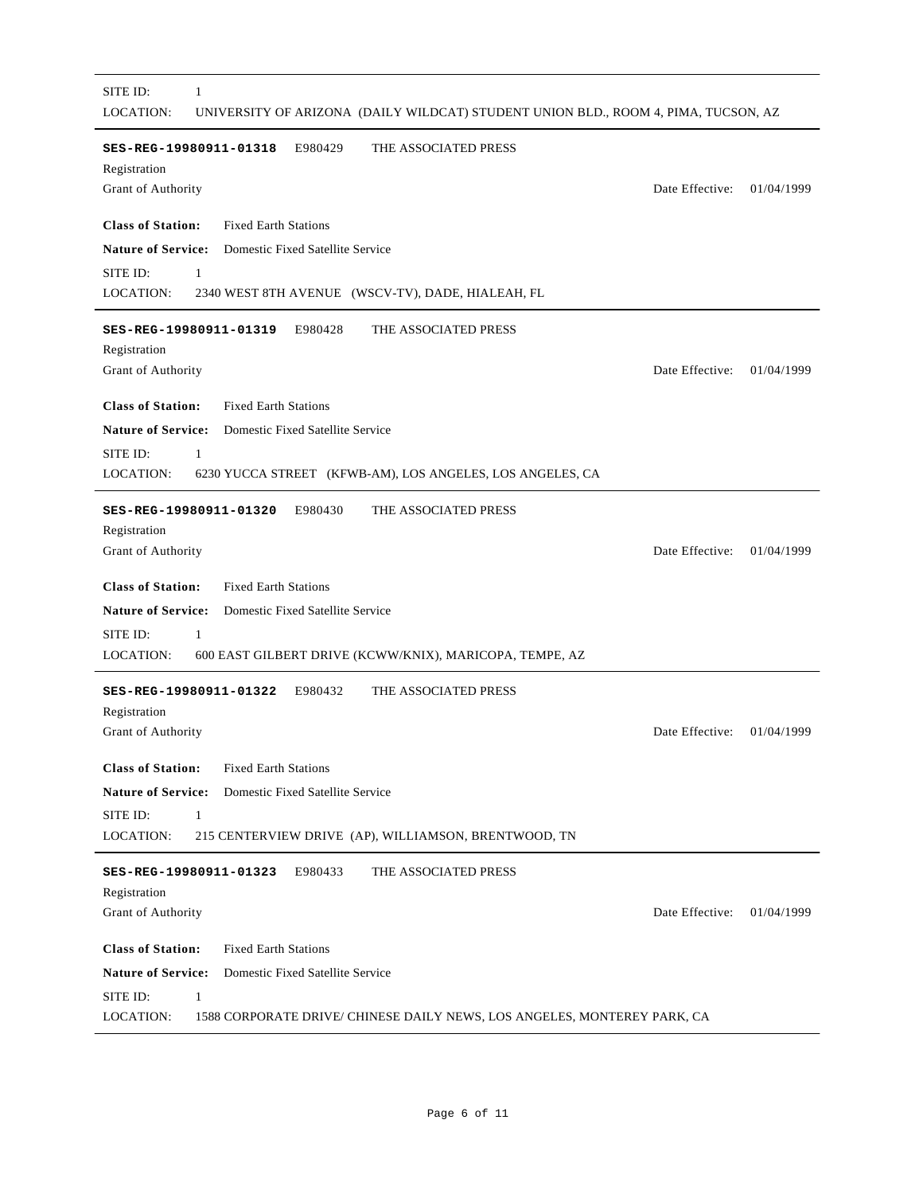| SITE ID:<br>1<br>LOCATION:<br>UNIVERSITY OF ARIZONA (DAILY WILDCAT) STUDENT UNION BLD., ROOM 4, PIMA, TUCSON, AZ |                 |            |
|------------------------------------------------------------------------------------------------------------------|-----------------|------------|
| E980429<br>THE ASSOCIATED PRESS<br>SES-REG-19980911-01318<br>Registration<br>Grant of Authority                  | Date Effective: | 01/04/1999 |
| <b>Class of Station:</b><br><b>Fixed Earth Stations</b>                                                          |                 |            |
| <b>Nature of Service:</b><br>Domestic Fixed Satellite Service                                                    |                 |            |
| SITE ID:<br>$\mathbf{1}$                                                                                         |                 |            |
| LOCATION:<br>2340 WEST 8TH AVENUE (WSCV-TV), DADE, HIALEAH, FL                                                   |                 |            |
| E980428<br>THE ASSOCIATED PRESS<br>SES-REG-19980911-01319<br>Registration                                        |                 |            |
| Grant of Authority                                                                                               | Date Effective: | 01/04/1999 |
| <b>Class of Station:</b><br><b>Fixed Earth Stations</b>                                                          |                 |            |
| <b>Nature of Service:</b><br>Domestic Fixed Satellite Service                                                    |                 |            |
| SITE ID:<br>1                                                                                                    |                 |            |
| LOCATION:<br>6230 YUCCA STREET (KFWB-AM), LOS ANGELES, LOS ANGELES, CA                                           |                 |            |
| E980430<br>SES-REG-19980911-01320<br>THE ASSOCIATED PRESS                                                        |                 |            |
| Registration                                                                                                     |                 |            |
| Grant of Authority                                                                                               | Date Effective: | 01/04/1999 |
| <b>Class of Station:</b><br><b>Fixed Earth Stations</b>                                                          |                 |            |
| <b>Nature of Service:</b><br>Domestic Fixed Satellite Service                                                    |                 |            |
| SITE ID:<br>1                                                                                                    |                 |            |
| LOCATION:<br>600 EAST GILBERT DRIVE (KCWW/KNIX), MARICOPA, TEMPE, AZ                                             |                 |            |
| E980432<br>SES-REG-19980911-01322<br>THE ASSOCIATED PRESS                                                        |                 |            |
| Registration                                                                                                     | Date Effective: |            |
| Grant of Authority                                                                                               |                 | 01/04/1999 |
| <b>Class of Station:</b><br><b>Fixed Earth Stations</b>                                                          |                 |            |
| <b>Nature of Service:</b><br>Domestic Fixed Satellite Service                                                    |                 |            |
| SITE ID:<br>1                                                                                                    |                 |            |
| LOCATION:<br>215 CENTERVIEW DRIVE (AP), WILLIAMSON, BRENTWOOD, TN                                                |                 |            |
| E980433<br>THE ASSOCIATED PRESS<br>SES-REG-19980911-01323                                                        |                 |            |
| Registration                                                                                                     |                 |            |
| Grant of Authority                                                                                               | Date Effective: | 01/04/1999 |
| <b>Class of Station:</b><br><b>Fixed Earth Stations</b>                                                          |                 |            |
| <b>Nature of Service:</b><br>Domestic Fixed Satellite Service                                                    |                 |            |
| SITE ID:<br>$\mathbf{1}$                                                                                         |                 |            |
| LOCATION:<br>1588 CORPORATE DRIVE/ CHINESE DAILY NEWS, LOS ANGELES, MONTEREY PARK, CA                            |                 |            |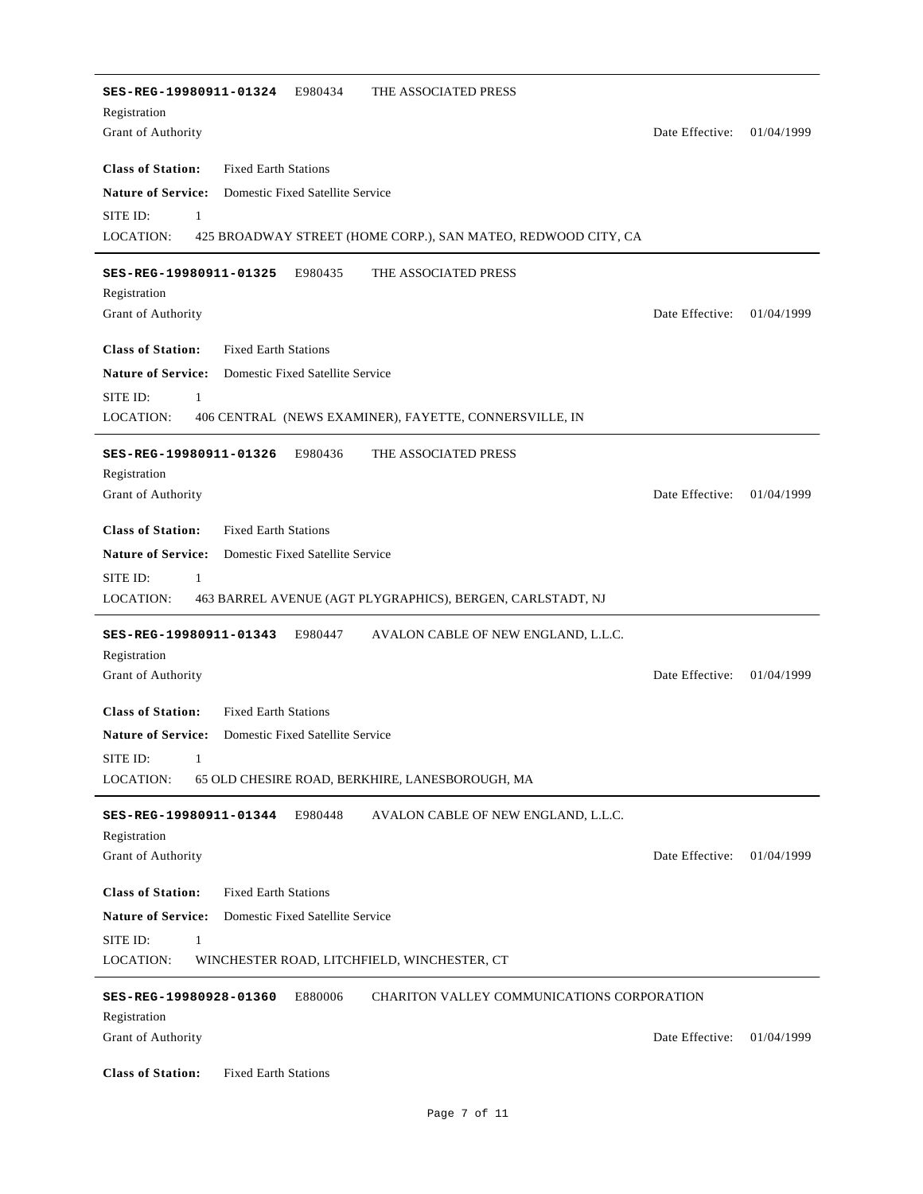E980434 **Class of Station:** Fixed Earth Stations Grant of Authority **SES-REG-19980911-01324** THE ASSOCIATED PRESS Registration Date Effective: 01/04/1999 **Nature of Service:** Domestic Fixed Satellite Service LOCATION: SITE ID: 1 425 BROADWAY STREET (HOME CORP.), SAN MATEO, REDWOOD CITY, CA E980435 **Class of Station:** Fixed Earth Stations Grant of Authority **SES-REG-19980911-01325** THE ASSOCIATED PRESS Registration Date Effective: 01/04/1999 **Nature of Service:** Domestic Fixed Satellite Service LOCATION: SITE ID: 1 406 CENTRAL (NEWS EXAMINER), FAYETTE, CONNERSVILLE, IN E980436 **Class of Station:** Fixed Earth Stations Grant of Authority **SES-REG-19980911-01326** THE ASSOCIATED PRESS Registration Date Effective: 01/04/1999 **Nature of Service:** Domestic Fixed Satellite Service LOCATION: SITE ID: 1 463 BARREL AVENUE (AGT PLYGRAPHICS), BERGEN, CARLSTADT, NJ SES-REG-19980911-01343 E980447 **Class of Station:** Fixed Earth Stations Grant of Authority **SES-REG-19980911-01343** AVALON CABLE OF NEW ENGLAND, L.L.C. Registration Date Effective: 01/04/1999 **Nature of Service:** Domestic Fixed Satellite Service LOCATION: SITE ID: 1 65 OLD CHESIRE ROAD, BERKHIRE, LANESBOROUGH, MA E980448 **Class of Station:** Fixed Earth Stations Grant of Authority **SES-REG-19980911-01344** AVALON CABLE OF NEW ENGLAND, L.L.C. Registration Date Effective: 01/04/1999 **Nature of Service:** Domestic Fixed Satellite Service LOCATION: SITE ID: 1 WINCHESTER ROAD, LITCHFIELD, WINCHESTER, CT E880006 **Class of Station:** Fixed Earth Stations Grant of Authority **SES-REG-19980928-01360** CHARITON VALLEY COMMUNICATIONS CORPORATION Registration Date Effective: 01/04/1999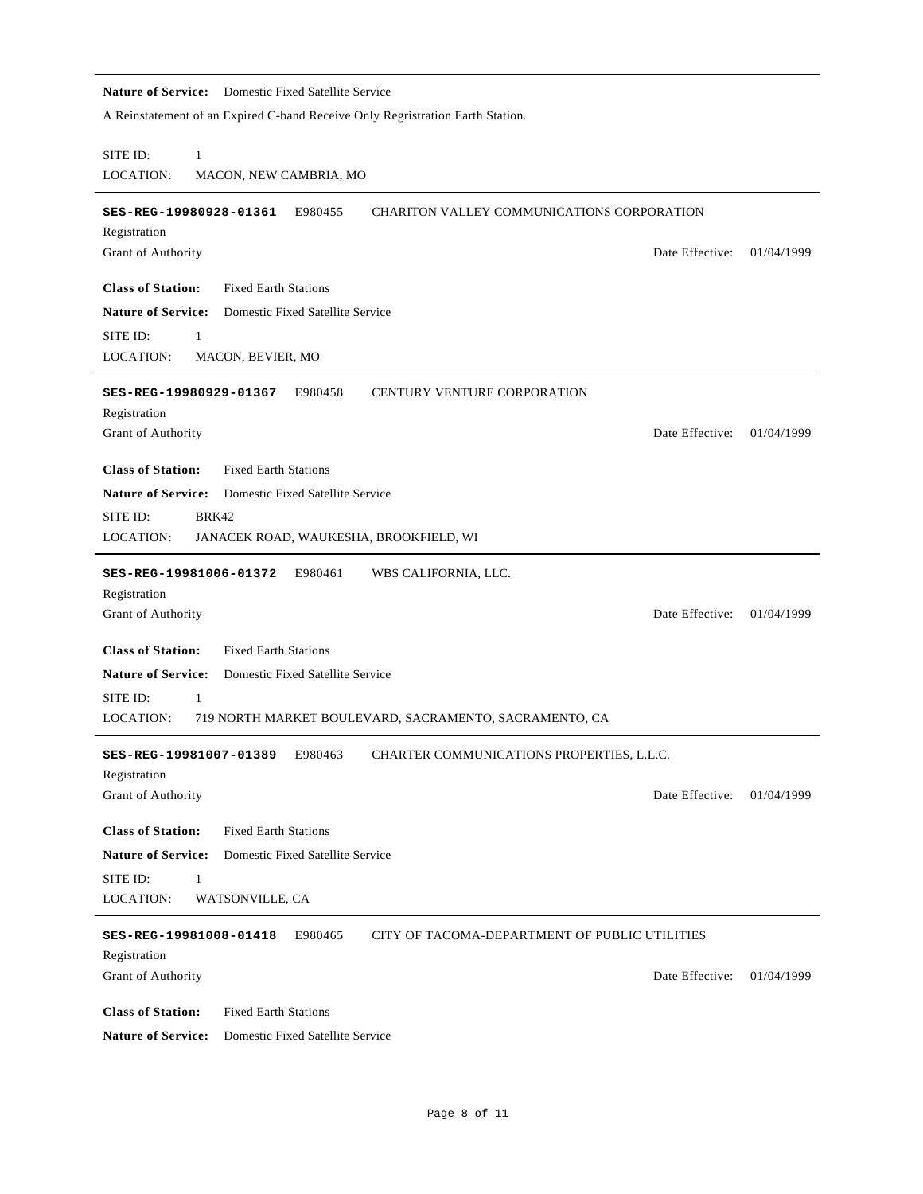## **Nature of Service:** Domestic Fixed Satellite Service A Reinstatement of an Expired C-band Receive Only Regristration Earth Station. LOCATION: SITE ID: 1 MACON, NEW CAMBRIA, MO SES-REG-19980928-01361 E980455 **Class of Station:** Fixed Earth Stations Grant of Authority CHARITON VALLEY COMMUNICATIONS CORPORATION Registration Date Effective: 01/04/1999 **Nature of Service:** Domestic Fixed Satellite Service LOCATION: SITE ID: 1 MACON, BEVIER, MO E980458 **Class of Station:** Fixed Earth Stations Grant of Authority SES-REG-19980929-01367 E980458 CENTURY VENTURE CORPORATION Registration Date Effective: 01/04/1999 **Nature of Service:** Domestic Fixed Satellite Service LOCATION: SITE ID: BRK42 JANACEK ROAD, WAUKESHA, BROOKFIELD, WI E980461 **SES-REG-19981006-01372** WBS CALIFORNIA, LLC. **Class of Station:** Fixed Earth Stations Grant of Authority Registration Date Effective: 01/04/1999 **Nature of Service:** Domestic Fixed Satellite Service LOCATION: SITE ID: 1 719 NORTH MARKET BOULEVARD, SACRAMENTO, SACRAMENTO, CA E980463 **Class of Station:** Fixed Earth Stations Grant of Authority **SES-REG-19981007-01389** CHARTER COMMUNICATIONS PROPERTIES, L.L.C. Registration Date Effective: 01/04/1999 **Nature of Service:** Domestic Fixed Satellite Service LOCATION: SITE ID: 1 WATSONVILLE, CA E980465 **Class of Station:** Fixed Earth Stations Grant of Authority **SES-REG-19981008-01418** CITY OF TACOMA-DEPARTMENT OF PUBLIC UTILITIES Registration Date Effective: 01/04/1999 **Nature of Service:** Domestic Fixed Satellite Service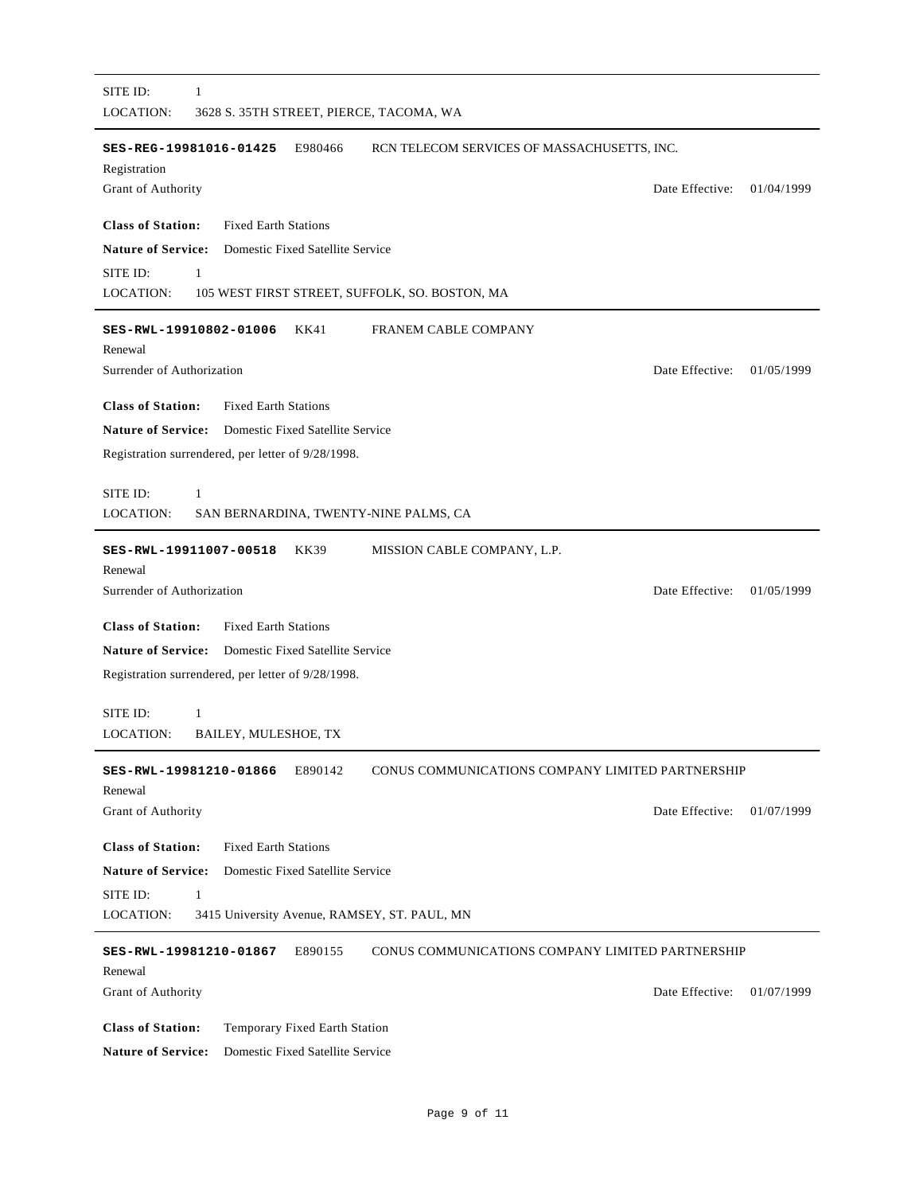| SITE ID:<br>1<br><b>LOCATION:</b><br>3628 S. 35TH STREET, PIERCE, TACOMA, WA                     |
|--------------------------------------------------------------------------------------------------|
| E980466<br>RCN TELECOM SERVICES OF MASSACHUSETTS, INC.<br>SES-REG-19981016-01425<br>Registration |
| Date Effective:<br>Grant of Authority<br>01/04/1999                                              |
| <b>Class of Station:</b><br><b>Fixed Earth Stations</b>                                          |
| <b>Nature of Service:</b><br>Domestic Fixed Satellite Service                                    |
| SITE ID:<br>$\mathbf{1}$<br>LOCATION:<br>105 WEST FIRST STREET, SUFFOLK, SO. BOSTON, MA          |
|                                                                                                  |
| KK41<br><b>FRANEM CABLE COMPANY</b><br>SES-RWL-19910802-01006<br>Renewal                         |
| Surrender of Authorization<br>Date Effective:<br>01/05/1999                                      |
| <b>Class of Station:</b><br><b>Fixed Earth Stations</b>                                          |
| Nature of Service: Domestic Fixed Satellite Service                                              |
| Registration surrendered, per letter of 9/28/1998.                                               |
| SITE ID:<br>1                                                                                    |
| LOCATION:<br>SAN BERNARDINA, TWENTY-NINE PALMS, CA                                               |
| KK39<br>MISSION CABLE COMPANY, L.P.<br>SES-RWL-19911007-00518                                    |
| Renewal<br>Surrender of Authorization<br>Date Effective:<br>01/05/1999                           |
|                                                                                                  |
| <b>Class of Station:</b><br><b>Fixed Earth Stations</b>                                          |
| <b>Nature of Service:</b><br>Domestic Fixed Satellite Service                                    |
| Registration surrendered, per letter of 9/28/1998.                                               |
| SITE ID:<br>1                                                                                    |
| LOCATION:<br>BAILEY, MULESHOE, TX                                                                |
| CONUS COMMUNICATIONS COMPANY LIMITED PARTNERSHIP<br>E890142<br>SES-RWL-19981210-01866<br>Renewal |
| Date Effective:<br>Grant of Authority<br>01/07/1999                                              |
| <b>Class of Station:</b><br><b>Fixed Earth Stations</b>                                          |
| <b>Nature of Service:</b><br>Domestic Fixed Satellite Service                                    |
| SITE ID:<br>1                                                                                    |
| LOCATION:<br>3415 University Avenue, RAMSEY, ST. PAUL, MN                                        |
| CONUS COMMUNICATIONS COMPANY LIMITED PARTNERSHIP<br>E890155<br>SES-RWL-19981210-01867            |
| Renewal<br>Date Effective:<br>01/07/1999                                                         |
| Grant of Authority                                                                               |
| <b>Class of Station:</b><br>Temporary Fixed Earth Station                                        |
| <b>Nature of Service:</b><br>Domestic Fixed Satellite Service                                    |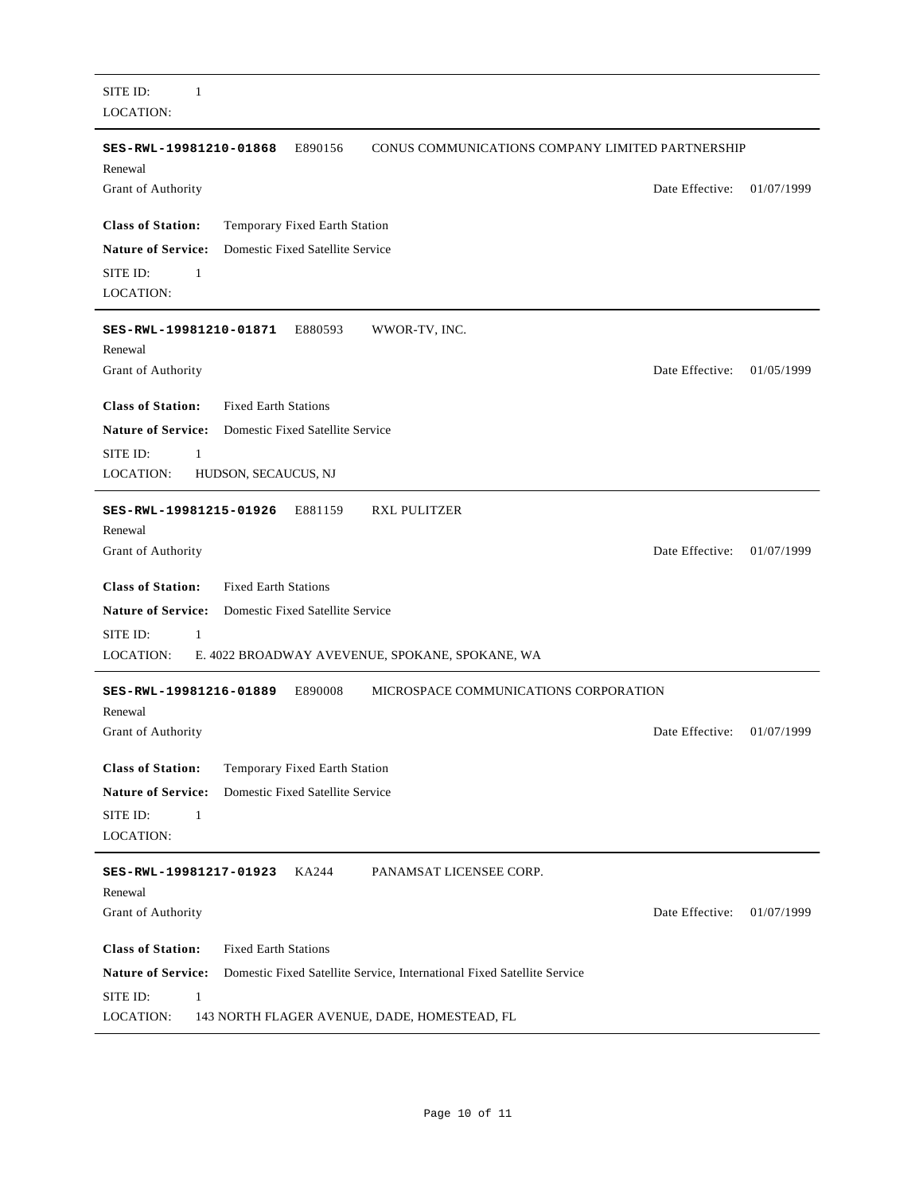LOCATION: SITE ID: 1 E890156 **Class of Station:** Temporary Fixed Earth Station Grant of Authority **SES-RWL-19981210-01868** CONUS COMMUNICATIONS COMPANY LIMITED PARTNERSHIP Renewal Date Effective: 01/07/1999 **Nature of Service:** Domestic Fixed Satellite Service LOCATION: SITE ID: 1 E880593 **Class of Station:** Fixed Earth Stations Grant of Authority **SES-RWL-19981210-01871** WWOR-TV, INC. Renewal Date Effective: 01/05/1999 **Nature of Service:** Domestic Fixed Satellite Service LOCATION: SITE ID: 1 HUDSON, SECAUCUS, NJ E881159 **Class of Station:** Fixed Earth Stations Grant of Authority **SES-RWL-19981215-01926** RXL PULITZER Renewal Date Effective: 01/07/1999 **Nature of Service:** Domestic Fixed Satellite Service LOCATION: SITE ID: 1 E. 4022 BROADWAY AVEVENUE, SPOKANE, SPOKANE, WA SES-RWL-19981216-01889 E890008 **Class of Station:** Temporary Fixed Earth Station Grant of Authority MICROSPACE COMMUNICATIONS CORPORATION Renewal Date Effective: 01/07/1999 **Nature of Service:** Domestic Fixed Satellite Service LOCATION: SITE ID: 1 KA244 **Class of Station:** Fixed Earth Stations Grant of Authority **SES-RWL-19981217-01923** PANAMSAT LICENSEE CORP. Renewal Date Effective: 01/07/1999 **Nature of Service:** Domestic Fixed Satellite Service, International Fixed Satellite Service LOCATION: SITE ID: 1 143 NORTH FLAGER AVENUE, DADE, HOMESTEAD, FL